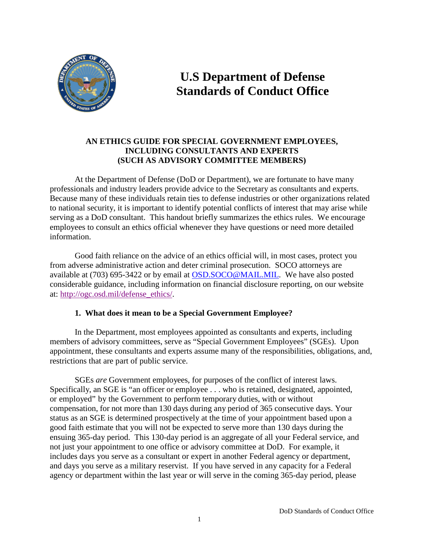

# **U.S Department of Defense Standards of Conduct Office**

# **AN ETHICS GUIDE FOR SPECIAL GOVERNMENT EMPLOYEES, INCLUDING CONSULTANTS AND EXPERTS (SUCH AS ADVISORY COMMITTEE MEMBERS)**

At the Department of Defense (DoD or Department), we are fortunate to have many professionals and industry leaders provide advice to the Secretary as consultants and experts. Because many of these individuals retain ties to defense industries or other organizations related to national security, it is important to identify potential conflicts of interest that may arise while serving as a DoD consultant. This handout briefly summarizes the ethics rules. We encourage employees to consult an ethics official whenever they have questions or need more detailed information.

Good faith reliance on the advice of an ethics official will, in most cases, protect you from adverse administrative action and deter criminal prosecution. SOCO attorneys are available at (703) 695-3422 or by email at [OSD.SOCO@MAIL.MIL.](mailto:OSD.SOCO@MAIL.MIL) We have also posted considerable guidance, including information on financial disclosure reporting, on our website at: [http://ogc.osd.mil/defense\\_ethics/.](http://ogc.osd.mil/defense_ethics/)

## **1. What does it mean to be a Special Government Employee?**

In the Department, most employees appointed as consultants and experts, including members of advisory committees, serve as "Special Government Employees" (SGEs). Upon appointment, these consultants and experts assume many of the responsibilities, obligations, and, restrictions that are part of public service.

SGEs *are* Government employees, for purposes of the conflict of interest laws. Specifically, an SGE is "an officer or employee . . . who is retained, designated, appointed, or employed" by the Government to perform temporary duties, with or without compensation, for not more than 130 days during any period of 365 consecutive days. Your status as an SGE is determined prospectively at the time of your appointment based upon a good faith estimate that you will not be expected to serve more than 130 days during the ensuing 365-day period. This 130-day period is an aggregate of all your Federal service, and not just your appointment to one office or advisory committee at DoD. For example, it includes days you serve as a consultant or expert in another Federal agency or department, and days you serve as a military reservist. If you have served in any capacity for a Federal agency or department within the last year or will serve in the coming 365-day period, please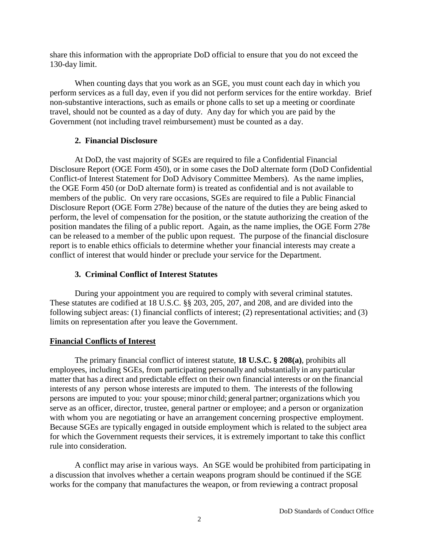share this information with the appropriate DoD official to ensure that you do not exceed the 130-day limit.

When counting days that you work as an SGE, you must count each day in which you perform services as a full day, even if you did not perform services for the entire workday. Brief non-substantive interactions, such as emails or phone calls to set up a meeting or coordinate travel, should not be counted as a day of duty. Any day for which you are paid by the Government (not including travel reimbursement) must be counted as a day.

## **2. Financial Disclosure**

At DoD, the vast majority of SGEs are required to file a Confidential Financial Disclosure Report (OGE Form 450), or in some cases the DoD alternate form (DoD Confidential Conflict-of Interest Statement for DoD Advisory Committee Members). As the name implies, the OGE Form 450 (or DoD alternate form) is treated as confidential and is not available to members of the public. On very rare occasions, SGEs are required to file a Public Financial Disclosure Report (OGE Form 278e) because of the nature of the duties they are being asked to perform, the level of compensation for the position, or the statute authorizing the creation of the position mandates the filing of a public report. Again, as the name implies, the OGE Form 278e can be released to a member of the public upon request. The purpose of the financial disclosure report is to enable ethics officials to determine whether your financial interests may create a conflict of interest that would hinder or preclude your service for the Department.

# **3. Criminal Conflict of Interest Statutes**

During your appointment you are required to comply with several criminal statutes. These statutes are codified at 18 U.S.C. §§ 203, 205, 207, and 208, and are divided into the following subject areas: (1) financial conflicts of interest; (2) representational activities; and (3) limits on representation after you leave the Government.

# **Financial Conflicts of Interest**

The primary financial conflict of interest statute, **18 U.S.C. § 208(a)**, prohibits all employees, including SGEs, from participating personally and substantially in any particular matter that has a direct and predictable effect on their own financial interests or on the financial interests of any person whose interests are imputed to them. The interests of the following persons are imputed to you: your spouse; minor child; general partner; organizations which you serve as an officer, director, trustee, general partner or employee; and a person or organization with whom you are negotiating or have an arrangement concerning prospective employment. Because SGEs are typically engaged in outside employment which is related to the subject area for which the Government requests their services, it is extremely important to take this conflict rule into consideration.

A conflict may arise in various ways. An SGE would be prohibited from participating in a discussion that involves whether a certain weapons program should be continued if the SGE works for the company that manufactures the weapon, or from reviewing a contract proposal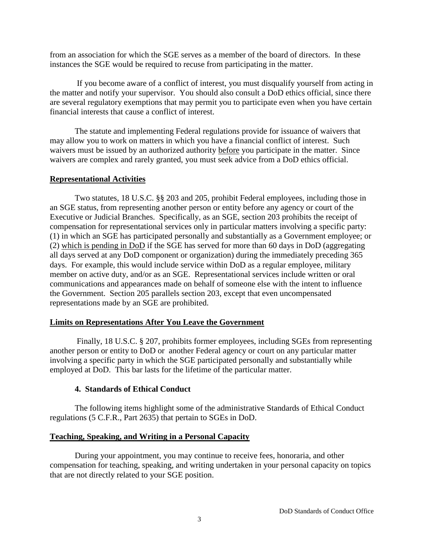from an association for which the SGE serves as a member of the board of directors. In these instances the SGE would be required to recuse from participating in the matter.

If you become aware of a conflict of interest, you must disqualify yourself from acting in the matter and notify your supervisor. You should also consult a DoD ethics official, since there are several regulatory exemptions that may permit you to participate even when you have certain financial interests that cause a conflict of interest.

The statute and implementing Federal regulations provide for issuance of waivers that may allow you to work on matters in which you have a financial conflict of interest. Such waivers must be issued by an authorized authority before you participate in the matter. Since waivers are complex and rarely granted, you must seek advice from a DoD ethics official.

## **Representational Activities**

Two statutes, 18 U.S.C. §§ 203 and 205, prohibit Federal employees, including those in an SGE status, from representing another person or entity before any agency or court of the Executive or Judicial Branches. Specifically, as an SGE, section 203 prohibits the receipt of compensation for representational services only in particular matters involving a specific party: (1) in which an SGE has participated personally and substantially as a Government employee; or (2) which is pending in DoD if the SGE has served for more than 60 days in DoD (aggregating all days served at any DoD component or organization) during the immediately preceding 365 days. For example, this would include service within DoD as a regular employee, military member on active duty, and/or as an SGE. Representational services include written or oral communications and appearances made on behalf of someone else with the intent to influence the Government. Section 205 parallels section 203, except that even uncompensated representations made by an SGE are prohibited.

## **Limits on Representations After You Leave the Government**

Finally, 18 U.S.C. § 207, prohibits former employees, including SGEs from representing another person or entity to DoD or another Federal agency or court on any particular matter involving a specific party in which the SGE participated personally and substantially while employed at DoD. This bar lasts for the lifetime of the particular matter.

## **4. Standards of Ethical Conduct**

The following items highlight some of the administrative Standards of Ethical Conduct regulations (5 C.F.R., Part 2635) that pertain to SGEs in DoD.

## **Teaching, Speaking, and Writing in a Personal Capacity**

During your appointment, you may continue to receive fees, honoraria, and other compensation for teaching, speaking, and writing undertaken in your personal capacity on topics that are not directly related to your SGE position.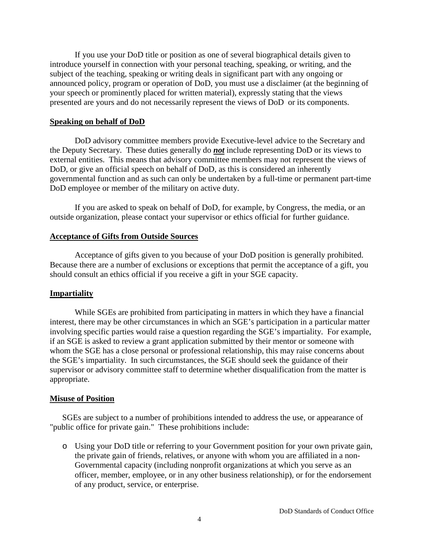If you use your DoD title or position as one of several biographical details given to introduce yourself in connection with your personal teaching, speaking, or writing, and the subject of the teaching, speaking or writing deals in significant part with any ongoing or announced policy, program or operation of DoD, you must use a disclaimer (at the beginning of your speech or prominently placed for written material), expressly stating that the views presented are yours and do not necessarily represent the views of DoD or its components.

#### **Speaking on behalf of DoD**

DoD advisory committee members provide Executive-level advice to the Secretary and the Deputy Secretary. These duties generally do *not* include representing DoD or its views to external entities. This means that advisory committee members may not represent the views of DoD, or give an official speech on behalf of DoD, as this is considered an inherently governmental function and as such can only be undertaken by a full-time or permanent part-time DoD employee or member of the military on active duty.

If you are asked to speak on behalf of DoD, for example, by Congress, the media, or an outside organization, please contact your supervisor or ethics official for further guidance.

#### **Acceptance of Gifts from Outside Sources**

Acceptance of gifts given to you because of your DoD position is generally prohibited. Because there are a number of exclusions or exceptions that permit the acceptance of a gift, you should consult an ethics official if you receive a gift in your SGE capacity.

#### **Impartiality**

While SGEs are prohibited from participating in matters in which they have a financial interest, there may be other circumstances in which an SGE's participation in a particular matter involving specific parties would raise a question regarding the SGE's impartiality. For example, if an SGE is asked to review a grant application submitted by their mentor or someone with whom the SGE has a close personal or professional relationship, this may raise concerns about the SGE's impartiality. In such circumstances, the SGE should seek the guidance of their supervisor or advisory committee staff to determine whether disqualification from the matter is appropriate.

#### **Misuse of Position**

SGEs are subject to a number of prohibitions intended to address the use, or appearance of "public office for private gain." These prohibitions include:

o Using your DoD title or referring to your Government position for your own private gain, the private gain of friends, relatives, or anyone with whom you are affiliated in a non-Governmental capacity (including nonprofit organizations at which you serve as an officer, member, employee, or in any other business relationship), or for the endorsement of any product, service, or enterprise.